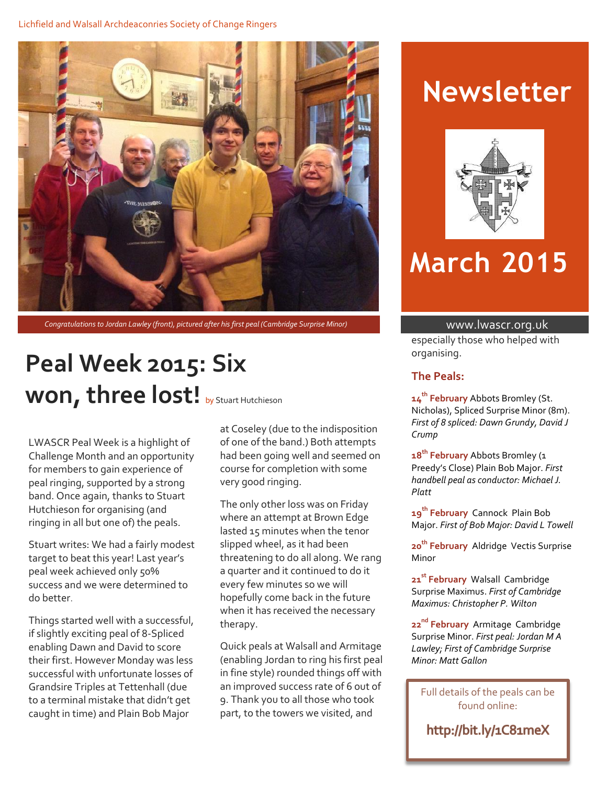

*Congratulations to Jordan Lawley (front), pictured after his first peal (Cambridge Surprise Minor)* www.lwascr.org.uk

## **Peal Week 2015: Six**  Won, three lost! by Stuart Hutchieson

LWASCR Peal Week is a highlight of Challenge Month and an opportunity for members to gain experience of peal ringing, supported by a strong band. Once again, thanks to Stuart Hutchieson for organising (and ringing in all but one of) the peals.

Stuart writes: We had a fairly modest target to beat this year! Last year's peal week achieved only 50% success and we were determined to do better.

Things started well with a successful, if slightly exciting peal of 8-Spliced enabling Dawn and David to score their first. However Monday was less successful with unfortunate losses of Grandsire Triples at Tettenhall (due to a terminal mistake that didn't get caught in time) and Plain Bob Major

at Coseley (due to the indisposition of one of the band.) Both attempts had been going well and seemed on course for completion with some very good ringing.

The only other loss was on Friday where an attempt at Brown Edge lasted 15 minutes when the tenor slipped wheel, as it had been threatening to do all along. We rang a quarter and it continued to do it every few minutes so we will hopefully come back in the future when it has received the necessary therapy.

Quick peals at Walsall and Armitage (enabling Jordan to ring his first peal in fine style) rounded things off with an improved success rate of 6 out of 9. Thank you to all those who took part, to the towers we visited, and

## **Newsletter**



# **March 2015**

especially those who helped with organising.

#### **The Peals:**

**14 th February** Abbots Bromley (St. Nicholas), Spliced Surprise Minor (8m). *First of 8 spliced: Dawn Grundy, David J Crump*

**18th February** Abbots Bromley (1 Preedy's Close) Plain Bob Major. *First handbell peal as conductor: Michael J. Platt*

**19 th February** Cannock Plain Bob Major. *First of Bob Major: David L Towell*

**20 th February** Aldridge Vectis Surprise Minor

**21 st February** Walsall Cambridge Surprise Maximus. *First of Cambridge Maximus: Christopher P. Wilton*

**22 nd February** Armitage Cambridge Surprise Minor. *First peal: Jordan M A Lawley; First of Cambridge Surprise Minor: Matt Gallon*

Full details of the peals can be found online:

http://bit.ly/1C81meX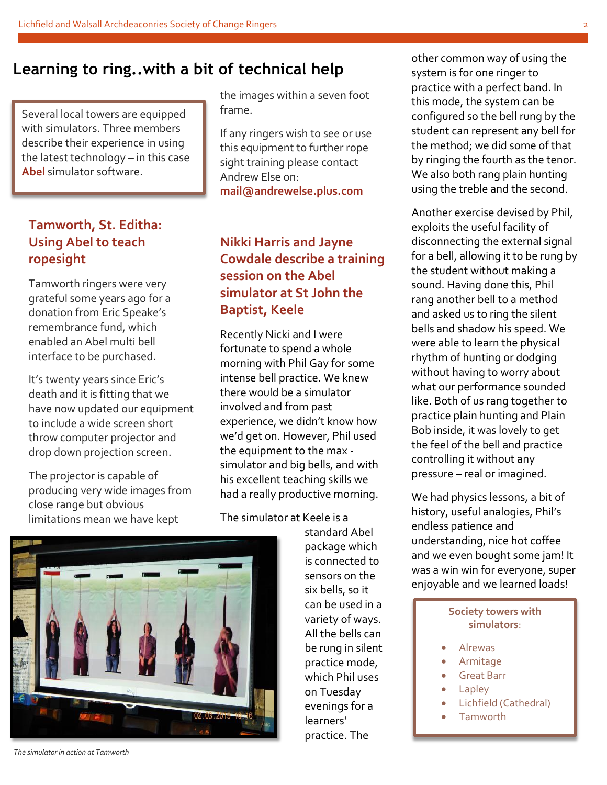### **Learning to ring..with a bit of technical help**

Several local towers are equipped with simulators. Three members describe their experience in using the latest technology – in this case **Abel** simulator software.

### **Tamworth, St. Editha: Using Abel to teach ropesight**

Tamworth ringers were very grateful some years ago for a donation from Eric Speake's remembrance fund, which enabled an Abel multi bell interface to be purchased.

It's twenty years since Eric's death and it is fitting that we have now updated our equipment to include a wide screen short throw computer projector and drop down projection screen.

The projector is capable of producing very wide images from close range but obvious limitations mean we have kept

the images within a seven foot frame.

If any ringers wish to see or use this equipment to further rope sight training please contact Andrew Else on: **mail@andrewelse.plus.com**

### **Nikki Harris and Jayne Cowdale describe a training session on the Abel simulator at St John the Baptist, Keele**

Recently Nicki and I were fortunate to spend a whole morning with Phil Gay for some intense bell practice. We knew there would be a simulator involved and from past experience, we didn't know how we'd get on. However, Phil used the equipment to the max simulator and big bells, and with his excellent teaching skills we had a really productive morning.

The simulator at Keele is a

standard Abel package which is connected to sensors on the six bells, so it can be used in a variety of ways. All the bells can be rung in silent practice mode, which Phil uses on Tuesday evenings for a learners' practice. The

other common way of using the system is for one ringer to practice with a perfect band. In this mode, the system can be configured so the bell rung by the student can represent any bell for the method; we did some of that by ringing the fourth as the tenor. We also both rang plain hunting using the treble and the second.

Another exercise devised by Phil, exploits the useful facility of disconnecting the external signal for a bell, allowing it to be rung by the student without making a sound. Having done this, Phil rang another bell to a method and asked us to ring the silent bells and shadow his speed. We were able to learn the physical rhythm of hunting or dodging without having to worry about what our performance sounded like. Both of us rang together to practice plain hunting and Plain Bob inside, it was lovely to get the feel of the bell and practice controlling it without any pressure – real or imagined.

We had physics lessons, a bit of history, useful analogies, Phil's endless patience and understanding, nice hot coffee and we even bought some jam! It was a win win for everyone, super enjoyable and we learned loads!

#### **Society towers with simulators**:

- Alrewas
- Armitage
- Great Barr
- Lapley
- Lichfield (Cathedral)
- **Tamworth**



*The simulator in action at Tamworth*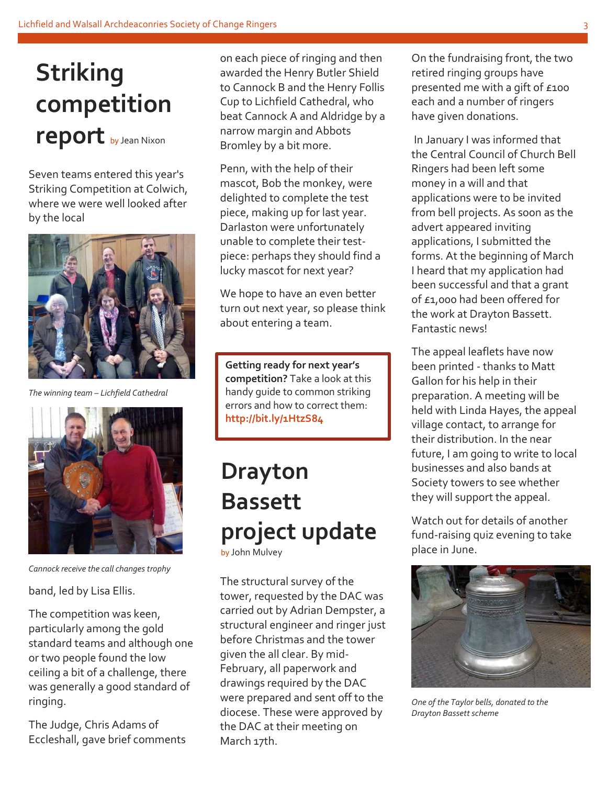# **Striking competition report** by Jean Nixon

Seven teams entered this year's Striking Competition at Colwich, where we were well looked after by the local



*The winning team – Lichfield Cathedral*



*Cannock receive the call changes trophy*

band, led by Lisa Ellis.

The competition was keen, particularly among the gold standard teams and although one or two people found the low ceiling a bit of a challenge, there was generally a good standard of ringing.

The Judge, Chris Adams of Eccleshall, gave brief comments on each piece of ringing and then awarded the Henry Butler Shield to Cannock B and the Henry Follis Cup to Lichfield Cathedral, who beat Cannock A and Aldridge by a narrow margin and Abbots Bromley by a bit more.

Penn, with the help of their mascot, Bob the monkey, were delighted to complete the test piece, making up for last year. Darlaston were unfortunately unable to complete their testpiece: perhaps they should find a lucky mascot for next year?

We hope to have an even better turn out next year, so please think about entering a team.

**Getting ready for next year's competition?** Take a look at this handy guide to common striking errors and how to correct them: **http://bit.ly/1HtzS84**

### **Drayton Bassett project update** by John Mulvey

The structural survey of the tower, requested by the DAC was carried out by Adrian Dempster, a structural engineer and ringer just before Christmas and the tower given the all clear. By mid-February, all paperwork and drawings required by the DAC were prepared and sent off to the diocese. These were approved by the DAC at their meeting on March 17th.

On the fundraising front, the two retired ringing groups have presented me with a gift of £100 each and a number of ringers have given donations.

In January I was informed that the Central Council of Church Bell Ringers had been left some money in a will and that applications were to be invited from bell projects. As soon as the advert appeared inviting applications, I submitted the forms. At the beginning of March I heard that my application had been successful and that a grant of £1,000 had been offered for the work at Drayton Bassett. Fantastic news!

The appeal leaflets have now been printed - thanks to Matt Gallon for his help in their preparation. A meeting will be held with Linda Hayes, the appeal village contact, to arrange for their distribution. In the near future, I am going to write to local businesses and also bands at Society towers to see whether they will support the appeal.

Watch out for details of another fund-raising quiz evening to take place in June.



*One of the Taylor bells, donated to the Drayton Bassett scheme*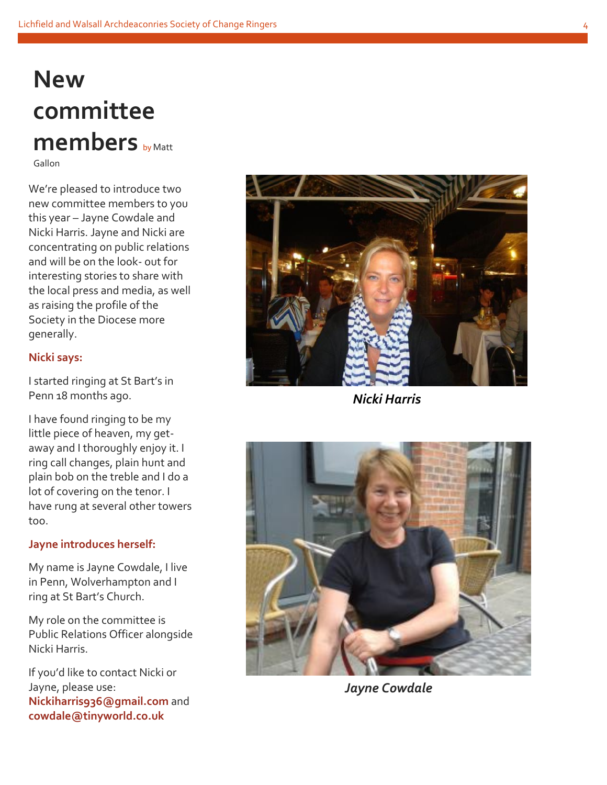## **New committee members** by Matt Gallon

We're pleased to introduce two new committee members to you this year – Jayne Cowdale and Nicki Harris. Jayne and Nicki are concentrating on public relations and will be on the look - out for interesting stories to share with the local press and media, as well as raising the profile of the Society in the Diocese more generally.

### **Nicki says:**

I started ringing at St Bart's in Penn 18 months ago.

I have found ringing to be my little piece of heaven, my get away and I thoroughly enjoy it. I ring call changes, plain hunt and plain bob on the treble and I do a lot of covering on the tenor. I have rung at several other towers too.

### **Jayne introduces herself:**

My name is Jayne Cowdale, I live in Penn, Wolverhampton and I ring at St Bart's Church.

My role on the committee is Public Relations Officer alongside Nicki Harris.<br>If you'd like to contact Nicki or

Jayne, please use: **Nickiharris936@gmail.com** and **cowdale@tinyworld.co.uk**



*Nicki Harris*



*Jayne Cowdale*